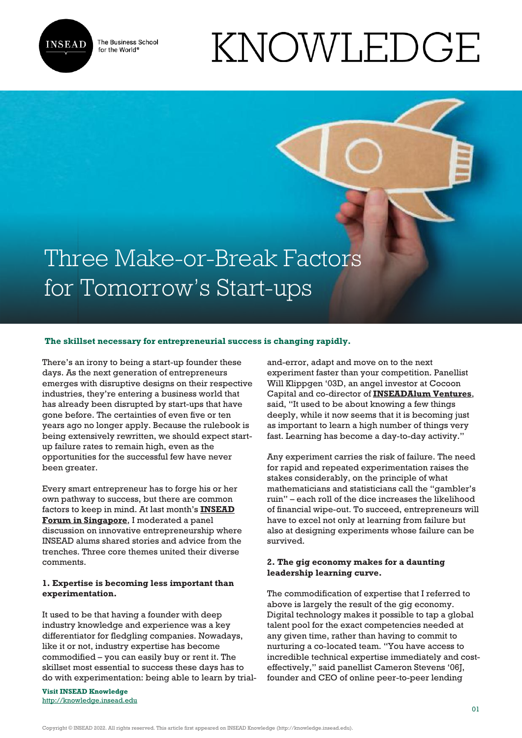

The Business School for the World<sup>®</sup>

# KNOWLEDGE

## Three Make-or-Break Factors for Tomorrow's Start-ups

#### **The skillset necessary for entrepreneurial success is changing rapidly.**

There's an irony to being a start-up founder these days. As the next generation of entrepreneurs emerges with disruptive designs on their respective industries, they're entering a business world that has already been disrupted by start-ups that have gone before. The certainties of even five or ten years ago no longer apply. Because the rulebook is being extensively rewritten, we should expect startup failure rates to remain high, even as the opportunities for the successful few have never been greater.

Every smart entrepreneur has to forge his or her own pathway to success, but there are common factors to keep in mind. At last month's **[INSEAD](https://www.insead.edu/events/alumni-forum-asia-2016) [Forum in Singapore](https://www.insead.edu/events/alumni-forum-asia-2016)**, I moderated a panel discussion on innovative entrepreneurship where INSEAD alums shared stories and advice from the trenches. Three core themes united their diverse comments.

#### **1. Expertise is becoming less important than experimentation.**

It used to be that having a founder with deep industry knowledge and experience was a key differentiator for fledgling companies. Nowadays, like it or not, industry expertise has become commodified – you can easily buy or rent it. The skillset most essential to success these days has to do with experimentation: being able to learn by trial-

**Visit INSEAD Knowledge** <http://knowledge.insead.edu>

and-error, adapt and move on to the next experiment faster than your competition. Panellist Will Klippgen '03D, an angel investor at Cocoon Capital and co-director of **[INSEADAlum Ventures](https://angel.co/inseadalum-ventures)**, said, "It used to be about knowing a few things deeply, while it now seems that it is becoming just as important to learn a high number of things very fast. Learning has become a day-to-day activity."

Any experiment carries the risk of failure. The need for rapid and repeated experimentation raises the stakes considerably, on the principle of what mathematicians and statisticians call the "gambler's ruin" – each roll of the dice increases the likelihood of financial wipe-out. To succeed, entrepreneurs will have to excel not only at learning from failure but also at designing experiments whose failure can be survived.

#### **2. The gig economy makes for a daunting leadership learning curve.**

The commodification of expertise that I referred to above is largely the result of the gig economy. Digital technology makes it possible to tap a global talent pool for the exact competencies needed at any given time, rather than having to commit to nurturing a co-located team. "You have access to incredible technical expertise immediately and costeffectively," said panellist Cameron Stevens '06J, founder and CEO of online peer-to-peer lending

Copyright © INSEAD 2022. All rights reserved. This article first appeared on INSEAD Knowledge (http://knowledge.insead.edu).